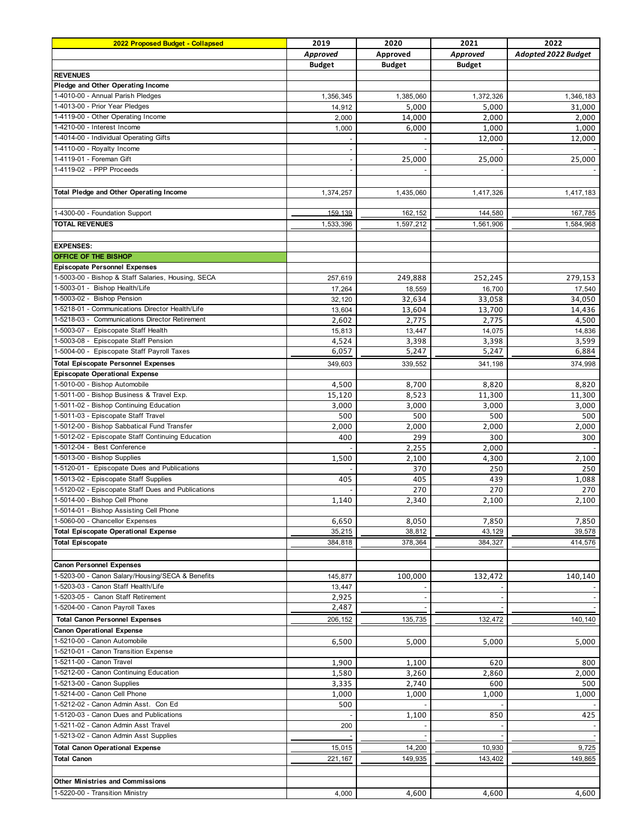| 2022 Proposed Budget - Collapsed                   | 2019          | 2020          | 2021          | 2022                |
|----------------------------------------------------|---------------|---------------|---------------|---------------------|
|                                                    | Approved      | Approved      | Approved      | Adopted 2022 Budget |
|                                                    | <b>Budget</b> | <b>Budget</b> | <b>Budget</b> |                     |
| <b>REVENUES</b>                                    |               |               |               |                     |
| Pledge and Other Operating Income                  |               |               |               |                     |
| 1-4010-00 - Annual Parish Pledges                  | 1,356,345     | 1,385,060     | 1,372,326     | 1,346,183           |
| 1-4013-00 - Prior Year Pledges                     | 14,912        | 5,000         | 5,000         | 31,000              |
| 1-4119-00 - Other Operating Income                 | 2,000         | 14,000        | 2,000         | 2,000               |
| 1-4210-00 - Interest Income                        | 1,000         | 6,000         | 1,000         | 1,000               |
| 1-4014-00 - Individual Operating Gifts             |               |               | 12,000        | 12,000              |
| 1-4110-00 - Royalty Income                         |               |               |               |                     |
| 1-4119-01 - Foreman Gift                           | $\sim$        | 25,000        | 25,000        | 25,000              |
| 1-4119-02 - PPP Proceeds                           |               |               |               |                     |
|                                                    |               |               |               |                     |
| <b>Total Pledge and Other Operating Income</b>     | 1,374,257     | 1,435,060     | 1,417,326     | 1,417,183           |
|                                                    |               |               |               |                     |
| 1-4300-00 - Foundation Support                     | 159.139       | 162,152       | 144,580       | 167,785             |
|                                                    |               |               |               |                     |
| <b>TOTAL REVENUES</b>                              | 1,533,396     | 1,597,212     | 1,561,906     | 1,584,968           |
|                                                    |               |               |               |                     |
| <b>EXPENSES:</b>                                   |               |               |               |                     |
| <b>OFFICE OF THE BISHOP</b>                        |               |               |               |                     |
| <b>Episcopate Personnel Expenses</b>               |               |               |               |                     |
| 1-5003-00 - Bishop & Staff Salaries, Housing, SECA | 257,619       | 249,888       | 252,245       | 279,153             |
| 1-5003-01 - Bishop Health/Life                     | 17,264        | 18,559        | 16,700        | 17,540              |
| 1-5003-02 - Bishop Pension                         | 32,120        | 32,634        | 33,058        | 34,050              |
| 1-5218-01 - Communications Director Health/Life    | 13,604        | 13,604        | 13,700        | 14,436              |
| 1-5218-03 - Communications Director Retirement     | 2,602         | 2,775         | 2,775         | 4,500               |
| 1-5003-07 - Episcopate Staff Health                | 15,813        | 13,447        | 14,075        | 14,836              |
| 1-5003-08 - Episcopate Staff Pension               | 4,524         | 3,398         | 3,398         | 3,599               |
| 1-5004-00 - Episcopate Staff Payroll Taxes         | 6,057         | 5,247         | 5,247         | 6,884               |
| <b>Total Episcopate Personnel Expenses</b>         | 349,603       | 339,552       | 341,198       | 374,998             |
| <b>Episcopate Operational Expense</b>              |               |               |               |                     |
| 1-5010-00 - Bishop Automobile                      | 4,500         | 8,700         | 8,820         | 8,820               |
| 1-5011-00 - Bishop Business & Travel Exp.          | 15,120        | 8,523         | 11,300        | 11,300              |
| 1-5011-02 - Bishop Continuing Education            | 3,000         | 3,000         | 3,000         | 3,000               |
| 1-5011-03 - Episcopate Staff Travel                | 500           | 500           | 500           | 500                 |
| 1-5012-00 - Bishop Sabbatical Fund Transfer        | 2,000         | 2,000         | 2,000         | 2,000               |
| 1-5012-02 - Episcopate Staff Continuing Education  | 400           | 299           | 300           | 300                 |
| 1-5012-04 - Best Conference                        |               | 2,255         | 2,000         |                     |
| 1-5013-00 - Bishop Supplies                        |               |               |               |                     |
|                                                    | 1,500         | 2,100         | 4,300         | 2,100               |
| 1-5120-01 - Episcopate Dues and Publications       |               | 370           | 250           | 250                 |
| 1-5013-02 - Episcopate Staff Supplies              | 405           | 405           | 439           | 1,088               |
| 1-5120-02 - Episcopate Staff Dues and Publications |               | 270           | 270           | 270                 |
| 1-5014-00 - Bishop Cell Phone                      | 1,140         | 2,340         | 2,100         | 2,100               |
| 1-5014-01 - Bishop Assisting Cell Phone            |               |               |               |                     |
| 1-5060-00 - Chancellor Expenses                    | 6,650         | 8,050         | 7,850         | 7,850               |
| <b>Total Episcopate Operational Expense</b>        | 35,215        | 38,812        | 43,129        | 39,578              |
| <b>Total Episcopate</b>                            | 384,818       | 378,364       | 384,327       | 414,576             |
|                                                    |               |               |               |                     |
| <b>Canon Personnel Expenses</b>                    |               |               |               |                     |
| 1-5203-00 - Canon Salary/Housing/SECA & Benefits   | 145,877       | 100,000       | 132,472       | 140,140             |
| 1-5203-03 - Canon Staff Health/Life                | 13,447        |               |               |                     |
| 1-5203-05 - Canon Staff Retirement                 | 2,925         |               |               |                     |
| 1-5204-00 - Canon Payroll Taxes                    | 2,487         |               |               |                     |
| <b>Total Canon Personnel Expenses</b>              | 206, 152      | 135,735       | 132,472       | 140,140             |
| <b>Canon Operational Expense</b>                   |               |               |               |                     |
| 1-5210-00 - Canon Automobile                       | 6,500         | 5,000         | 5,000         | 5,000               |
| 1-5210-01 - Canon Transition Expense               |               |               |               |                     |
| 1-5211-00 - Canon Travel                           | 1,900         | 1,100         | 620           | 800                 |
| 1-5212-00 - Canon Continuing Education             | 1,580         | 3,260         | 2,860         | 2,000               |
| 1-5213-00 - Canon Supplies                         | 3,335         | 2,740         | 600           | 500                 |
| 1-5214-00 - Canon Cell Phone                       |               |               |               |                     |
| 1-5212-02 - Canon Admin Asst. Con Ed               | 1,000         | 1,000         | 1,000         | 1,000               |
| 1-5120-03 - Canon Dues and Publications            | 500           |               |               |                     |
| 1-5211-02 - Canon Admin Asst Travel                |               | 1,100         | 850           | 425                 |
|                                                    | 200           |               |               |                     |
| 1-5213-02 - Canon Admin Asst Supplies              |               |               |               |                     |
| <b>Total Canon Operational Expense</b>             | 15,015        | 14,200        | 10,930        | 9,725               |
| <b>Total Canon</b>                                 | 221, 167      | 149,935       | 143,402       | 149,865             |
|                                                    |               |               |               |                     |
| <b>Other Ministries and Commissions</b>            |               |               |               |                     |
| 1-5220-00 - Transition Ministry                    | 4,000         | 4,600         | 4,600         | 4,600               |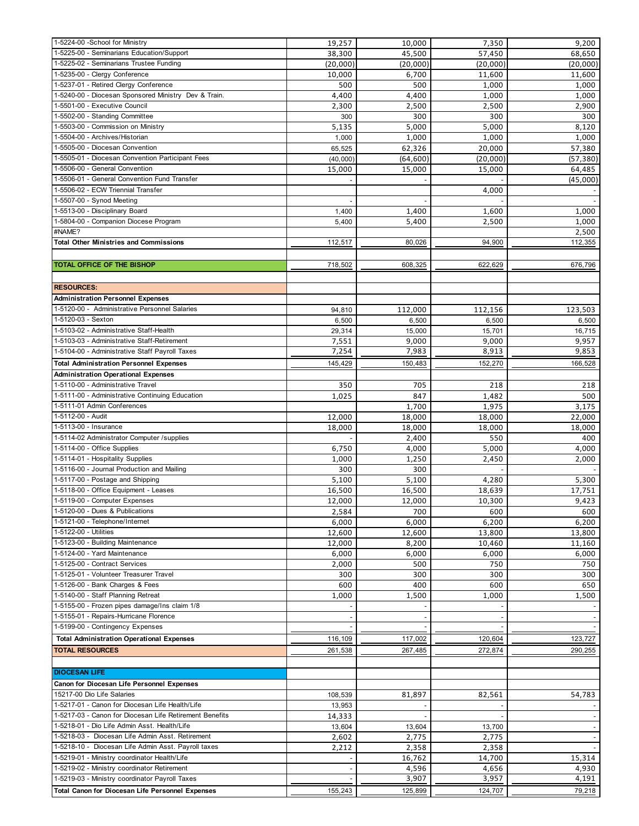| 1-5224-00 -School for Ministry                          | 19,257   | 10,000    | 7,350                    | 9,200                    |
|---------------------------------------------------------|----------|-----------|--------------------------|--------------------------|
| 1-5225-00 - Seminarians Education/Support               | 38,300   | 45,500    | 57,450                   | 68,650                   |
| 1-5225-02 - Seminarians Trustee Funding                 | (20,000) | (20,000)  | (20,000)                 | (20,000)                 |
| 1-5235-00 - Clergy Conference                           | 10,000   | 6,700     | 11,600                   | 11,600                   |
| 1-5237-01 - Retired Clergy Conference                   | 500      | 500       | 1,000                    | 1,000                    |
| 1-5240-00 - Diocesan Sponsored Ministry Dev & Train.    | 4,400    | 4,400     | 1,000                    | 1,000                    |
| 1-5501-00 - Executive Council                           | 2,300    | 2,500     | 2,500                    | 2,900                    |
| 1-5502-00 - Standing Committee                          | 300      | 300       | 300                      | 300                      |
| 1-5503-00 - Commission on Ministry                      | 5,135    | 5,000     | 5,000                    | 8,120                    |
| 1-5504-00 - Archives/Historian                          | 1,000    | 1,000     | 1,000                    | 1,000                    |
| 1-5505-00 - Diocesan Convention                         | 65,525   | 62,326    | 20,000                   | 57,380                   |
| 1-5505-01 - Diocesan Convention Participant Fees        | (40,000) | (64, 600) | (20,000)                 | (57, 380)                |
| 1-5506-00 - General Convention                          | 15,000   | 15,000    | 15,000                   | 64,485                   |
| 1-5506-01 - General Convention Fund Transfer            |          |           |                          | (45,000)                 |
| 1-5506-02 - ECW Triennial Transfer                      |          |           | 4,000                    |                          |
| 1-5507-00 - Synod Meeting                               |          |           |                          |                          |
| 1-5513-00 - Disciplinary Board                          |          |           |                          |                          |
|                                                         | 1,400    | 1,400     | 1,600                    | 1,000                    |
| 1-5804-00 - Companion Diocese Program                   | 5,400    | 5,400     | 2,500                    | 1,000                    |
| #NAME?                                                  |          |           |                          | 2,500                    |
| <b>Total Other Ministries and Commissions</b>           | 112,517  | 80,026    | 94,900                   | 112,355                  |
|                                                         |          |           |                          |                          |
| TOTAL OFFICE OF THE BISHOP                              | 718,502  | 608,325   | 622,629                  | 676,796                  |
|                                                         |          |           |                          |                          |
| <b>RESOURCES:</b>                                       |          |           |                          |                          |
| <b>Administration Personnel Expenses</b>                |          |           |                          |                          |
| 1-5120-00 - Administrative Personnel Salaries           | 94,810   | 112,000   | 112,156                  | 123,503                  |
| 1-5120-03 - Sexton                                      | 6,500    | 6,500     | 6,500                    | 6,500                    |
| 1-5103-02 - Administrative Staff-Health                 | 29,314   | 15,000    | 15,701                   | 16,715                   |
| 1-5103-03 - Administrative Staff-Retirement             | 7,551    | 9,000     | 9,000                    | 9,957                    |
| 1-5104-00 - Administrative Staff Payroll Taxes          | 7,254    | 7,983     | 8,913                    | 9,853                    |
|                                                         |          |           |                          |                          |
| <b>Total Administration Personnel Expenses</b>          | 145,429  | 150,483   | 152,270                  | 166,528                  |
| <b>Administration Operational Expenses</b>              |          |           |                          |                          |
| 1-5110-00 - Administrative Travel                       | 350      | 705       | 218                      | 218                      |
| 1-5111-00 - Administrative Continuing Education         | 1,025    | 847       | 1,482                    | 500                      |
| 1-5111-01 Admin Conferences                             |          | 1,700     | 1,975                    | 3,175                    |
| 1-5112-00 - Audit                                       | 12,000   | 18,000    | 18,000                   | 22,000                   |
| 1-5113-00 - Insurance                                   | 18,000   | 18,000    | 18,000                   | 18,000                   |
| 1-5114-02 Administrator Computer /supplies              |          | 2,400     | 550                      | 400                      |
| 1-5114-00 - Office Supplies                             | 6,750    | 4,000     | 5,000                    | 4,000                    |
| 1-5114-01 - Hospitality Supplies                        | 1,000    | 1,250     | 2,450                    | 2,000                    |
| 1-5116-00 - Journal Production and Mailing              | 300      | 300       |                          |                          |
| 1-5117-00 - Postage and Shipping                        | 5,100    | 5,100     | 4,280                    | 5,300                    |
| 1-5118-00 - Office Equipment - Leases                   | 16,500   | 16,500    | 18,639                   | 17,751                   |
| 1-5119-00 - Computer Expenses                           | 12,000   | 12,000    | 10,300                   | 9,423                    |
| 1-5120-00 - Dues & Publications                         | 2,584    | 700       | 600                      | 600                      |
| 1-5121-00 - Telephone/Internet                          | 6,000    | 6,000     | 6,200                    | 6,200                    |
| 1-5122-00 - Utilities                                   |          |           |                          |                          |
| 1-5123-00 - Building Maintenance                        | 12,600   | 12,600    | 13,800                   | 13,800                   |
|                                                         | 12,000   | 8,200     | 10,460                   | 11,160                   |
| 1-5124-00 - Yard Maintenance                            | 6,000    | 6,000     | 6,000                    | 6,000                    |
| 1-5125-00 - Contract Services                           | 2,000    | 500       | 750                      | 750                      |
| 1-5125-01 - Volunteer Treasurer Travel                  | 300      | 300       | 300                      | 300                      |
| 1-5126-00 - Bank Charges & Fees                         | 600      | 400       | 600                      | 650                      |
| 1-5140-00 - Staff Planning Retreat                      | 1,000    | 1,500     | 1,000                    | 1,500                    |
| 1-5155-00 - Frozen pipes damage/Ins claim 1/8           |          |           |                          |                          |
| 1-5155-01 - Repairs-Hurricane Florence                  |          |           | $\overline{\phantom{a}}$ |                          |
| 1-5199-00 - Contingency Expenses                        |          |           |                          |                          |
| <b>Total Administration Operational Expenses</b>        | 116,109  | 117,002   | 120,604                  | 123,727                  |
| <b>TOTAL RESOURCES</b>                                  | 261,538  | 267,485   | 272,874                  | 290,255                  |
|                                                         |          |           |                          |                          |
| <b>DIOCESAN LIFE</b>                                    |          |           |                          |                          |
| Canon for Diocesan Life Personnel Expenses              |          |           |                          |                          |
|                                                         |          |           |                          |                          |
| 15217-00 Dio Life Salaries                              | 108,539  | 81,897    | 82,561                   | 54,783                   |
| 1-5217-01 - Canon for Diocesan Life Health/Life         | 13,953   |           |                          |                          |
| 1-5217-03 - Canon for Diocesan Life Retirement Benefits | 14,333   |           |                          | $\overline{\phantom{a}}$ |
| 1-5218-01 - Dio Life Admin Asst. Health/Life            | 13,604   | 13,604    | 13,700                   | $\overline{\phantom{a}}$ |
| 1-5218-03 - Diocesan Life Admin Asst. Retirement        | 2,602    | 2,775     | 2,775                    |                          |
| 1-5218-10 - Diocesan Life Admin Asst. Payroll taxes     | 2,212    | 2,358     | 2,358                    |                          |
| 1-5219-01 - Ministry coordinator Health/Life            |          | 16,762    | 14,700                   | 15,314                   |
| 1-5219-02 - Ministry coordinator Retirement             |          | 4,596     | 4,656                    | 4,930                    |
| 1-5219-03 - Ministry coordinator Payroll Taxes          |          | 3,907     | 3,957                    | 4,191                    |
| Total Canon for Diocesan Life Personnel Expenses        | 155,243  | 125,899   | 124,707                  | 79,218                   |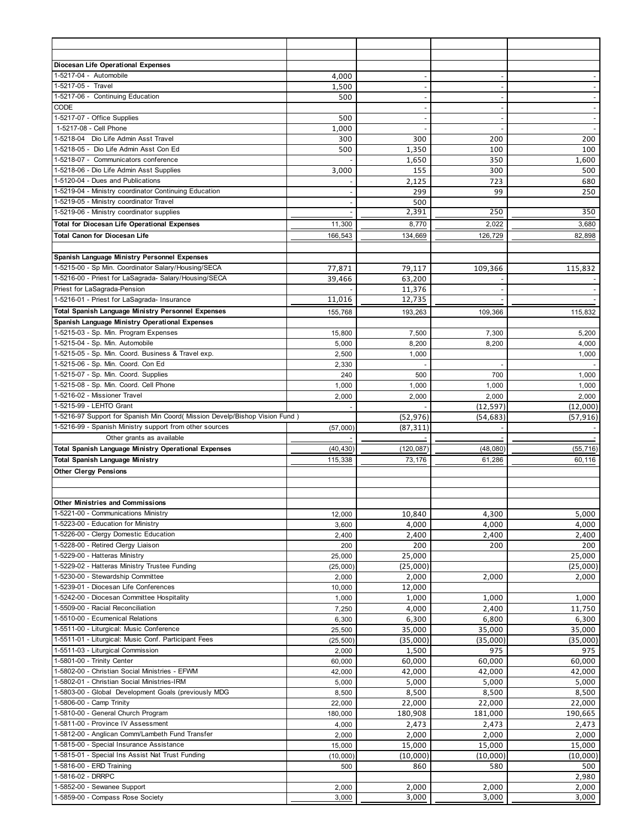| Diocesan Life Operational Expenses                                          |                |                |                |                          |
|-----------------------------------------------------------------------------|----------------|----------------|----------------|--------------------------|
| 1-5217-04 - Automobile                                                      | 4,000          |                |                |                          |
| 1-5217-05 - Travel                                                          | 1,500          |                | $\sim$         |                          |
| 1-5217-06 - Continuing Education                                            | 500            | ٠              | $\sim$         | $\blacksquare$           |
| CODE                                                                        |                |                |                |                          |
| 1-5217-07 - Office Supplies                                                 | 500            |                | $\sim$         | $\overline{\phantom{a}}$ |
| 1-5217-08 - Cell Phone                                                      | 1,000          |                | $\sim$         | $\sim$                   |
| 1-5218-04 Dio Life Admin Asst Travel                                        | 300            | 300            | 200            | 200                      |
| 1-5218-05 - Dio Life Admin Asst Con Ed                                      | 500            | 1,350          | 100            | 100                      |
| 1-5218-07 - Communicators conference                                        |                | 1,650          | 350            | 1,600                    |
| 1-5218-06 - Dio Life Admin Asst Supplies                                    | 3,000          | 155            | 300            | 500                      |
| 1-5120-04 - Dues and Publications                                           |                | 2,125          | 723            | 680                      |
| 1-5219-04 - Ministry coordinator Continuing Education                       |                | 299            | 99             | 250                      |
| 1-5219-05 - Ministry coordinator Travel                                     |                | 500            |                |                          |
| 1-5219-06 - Ministry coordinator supplies                                   |                | 2,391          | 250            | 350                      |
|                                                                             |                |                |                |                          |
| <b>Total for Diocesan Life Operational Expenses</b>                         | 11,300         | 8,770          | 2,022          | 3,680                    |
| <b>Total Canon for Diocesan Life</b>                                        | 166,543        | 134,669        | 126,729        | 82,898                   |
|                                                                             |                |                |                |                          |
| Spanish Language Ministry Personnel Expenses                                |                |                |                |                          |
| 1-5215-00 - Sp Min. Coordinator Salary/Housing/SECA                         | 77,871         | 79,117         | 109,366        | 115,832                  |
| 1-5216-00 - Priest for LaSagrada- Salary/Housing/SECA                       | 39.466         | 63.200         |                |                          |
| Priest for LaSagrada-Pension                                                |                | 11,376         |                |                          |
| 1-5216-01 - Priest for LaSagrada- Insurance                                 | 11,016         | 12,735         |                |                          |
| <b>Total Spanish Language Ministry Personnel Expenses</b>                   | 155.768        | 193,263        | 109,366        | 115,832                  |
| Spanish Language Ministry Operational Expenses                              |                |                |                |                          |
| 1-5215-03 - Sp. Min. Program Expenses                                       | 15,800         | 7,500          | 7,300          | 5,200                    |
| 1-5215-04 - Sp. Min. Automobile                                             | 5,000          | 8,200          | 8,200          | 4,000                    |
| 1-5215-05 - Sp. Min. Coord. Business & Travel exp.                          | 2,500          | 1,000          |                | 1,000                    |
| 1-5215-06 - Sp. Min. Coord. Con Ed                                          | 2,330          |                |                |                          |
| 1-5215-07 - Sp. Min. Coord. Supplies                                        | 240            | 500            | 700            | 1,000                    |
| 1-5215-08 - Sp. Min. Coord. Cell Phone                                      | 1,000          | 1,000          | 1,000          | 1,000                    |
| 1-5216-02 - Missioner Travel                                                | 2,000          | 2,000          | 2,000          | 2,000                    |
| 1-5215-99 - LEHTO Grant                                                     |                |                | (12, 597)      | (12,000)                 |
| 1-5216-97 Support for Spanish Min Coord( Mission Develp/Bishop Vision Fund) |                |                |                |                          |
| 1-5216-99 - Spanish Ministry support from other sources                     |                | (52, 976)      | (54, 683)      | (57, 916)                |
|                                                                             | (57,000)       | (87, 311)      |                |                          |
| Other grants as available                                                   |                |                |                |                          |
| <b>Total Spanish Language Ministry Operational Expenses</b>                 | (40, 430)      | (120, 087)     | (48, 080)      | (55, 716)                |
| <b>Total Spanish Language Ministry</b>                                      | 115,338        | 73,176         | 61,286         | 60,116                   |
| <b>Other Clergy Pensions</b>                                                |                |                |                |                          |
|                                                                             |                |                |                |                          |
|                                                                             |                |                |                |                          |
| <b>Other Ministries and Commissions</b>                                     |                |                |                |                          |
| 1-5221-00 - Communications Ministry                                         | 12,000         | 10,840         | 4,300          | 5,000                    |
| 1-5223-00 - Education for Ministry                                          | 3,600          | 4,000          | 4,000          | 4,000                    |
| 1-5226-00 - Clergy Domestic Education                                       | 2,400          | 2,400          | 2,400          | 2,400                    |
| 1-5228-00 - Retired Clergy Liaison                                          | 200            | 200            | 200            | 200                      |
| 1-5229-00 - Hatteras Ministry                                               | 25,000         | 25,000         |                | 25,000                   |
| 1-5229-02 - Hatteras Ministry Trustee Funding                               | (25,000)       | (25,000)       |                | (25,000)                 |
| 1-5230-00 - Stewardship Committee                                           | 2,000          | 2,000          | 2,000          | 2,000                    |
| 1-5239-01 - Diocesan Life Conferences                                       | 10,000         | 12,000         |                |                          |
| 1-5242-00 - Diocesan Committee Hospitality                                  | 1,000          | 1,000          | 1,000          | 1,000                    |
| 1-5509-00 - Racial Reconciliation                                           | 7,250          | 4,000          | 2,400          | 11,750                   |
| 1-5510-00 - Ecumenical Relations                                            | 6,300          | 6,300          | 6,800          | 6,300                    |
| 1-5511-00 - Liturgical: Music Conference                                    | 25,500         | 35,000         | 35,000         | 35,000                   |
| 1-5511-01 - Liturgical: Music Conf. Participant Fees                        | (25, 500)      | (35,000)       | (35,000)       | (35,000)                 |
| 1-5511-03 - Liturgical Commission                                           | 2,000          | 1,500          | 975            | 975                      |
| 1-5801-00 - Trinity Center                                                  | 60,000         | 60,000         | 60,000         | 60,000                   |
| 1-5802-00 - Christian Social Ministries - EFWM                              | 42,000         | 42,000         | 42,000         | 42,000                   |
| 1-5802-01 - Christian Social Ministries-IRM                                 | 5,000          | 5,000          | 5,000          | 5,000                    |
| 1-5803-00 - Global Development Goals (previously MDG                        | 8,500          | 8,500          | 8,500          | 8,500                    |
| 1-5806-00 - Camp Trinity                                                    | 22,000         | 22,000         | 22,000         | 22,000                   |
| 1-5810-00 - General Church Program                                          | 180,000        | 180,908        | 181,000        | 190,665                  |
| 1-5811-00 - Province IV Assessment                                          |                |                |                | 2,473                    |
| 1-5812-00 - Anglican Comm/Lambeth Fund Transfer                             | 4,000          | 2,473<br>2,000 | 2,473<br>2,000 | 2,000                    |
| 1-5815-00 - Special Insurance Assistance                                    |                |                |                |                          |
|                                                                             | 2,000          |                |                |                          |
|                                                                             | 15,000         | 15,000         | 15,000         | 15,000                   |
| 1-5815-01 - Special Ins Assist Nat Trust Funding                            | (10,000)       | (10,000)       | (10,000)       | (10,000)                 |
| 1-5816-00 - ERD Training                                                    | 500            | 860            | 580            | 500                      |
| 1-5816-02 - DRRPC                                                           |                |                |                | 2,980                    |
| 1-5852-00 - Sewanee Support<br>1-5859-00 - Compass Rose Society             | 2,000<br>3,000 | 2,000<br>3,000 | 2,000<br>3,000 | 2,000<br>3,000           |